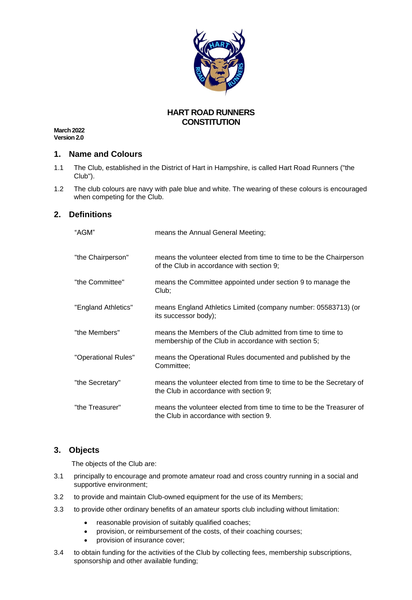

## **HART ROAD RUNNERS CONSTITUTION**

**March 2022 Version 2.0**

#### **1. Name and Colours**

- 1.1 The Club, established in the District of Hart in Hampshire, is called Hart Road Runners ("the Club").
- 1.2 The club colours are navy with pale blue and white. The wearing of these colours is encouraged when competing for the Club.

### **2. Definitions**

| "AGM"               | means the Annual General Meeting;                                                                                   |
|---------------------|---------------------------------------------------------------------------------------------------------------------|
| "the Chairperson"   | means the volunteer elected from time to time to be the Chairperson<br>of the Club in accordance with section 9;    |
| "the Committee"     | means the Committee appointed under section 9 to manage the<br>Club;                                                |
| "England Athletics" | means England Athletics Limited (company number: 05583713) (or<br>its successor body);                              |
| "the Members"       | means the Members of the Club admitted from time to time to<br>membership of the Club in accordance with section 5; |
| "Operational Rules" | means the Operational Rules documented and published by the<br>Committee;                                           |
| "the Secretary"     | means the volunteer elected from time to time to be the Secretary of<br>the Club in accordance with section 9;      |
| "the Treasurer"     | means the volunteer elected from time to time to be the Treasurer of<br>the Club in accordance with section 9.      |

#### **3. Objects**

The objects of the Club are:

- 3.1 principally to encourage and promote amateur road and cross country running in a social and supportive environment;
- 3.2 to provide and maintain Club-owned equipment for the use of its Members;
- 3.3 to provide other ordinary benefits of an amateur sports club including without limitation:
	- reasonable provision of suitably qualified coaches;
	- provision, or reimbursement of the costs, of their coaching courses;
	- provision of insurance cover;
- 3.4 to obtain funding for the activities of the Club by collecting fees, membership subscriptions, sponsorship and other available funding;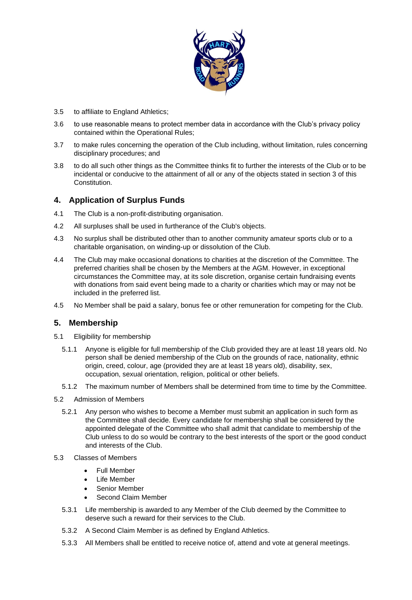

- 3.5 to affiliate to England Athletics;
- 3.6 to use reasonable means to protect member data in accordance with the Club's privacy policy contained within the Operational Rules;
- 3.7 to make rules concerning the operation of the Club including, without limitation, rules concerning disciplinary procedures; and
- 3.8 to do all such other things as the Committee thinks fit to further the interests of the Club or to be incidental or conducive to the attainment of all or any of the objects stated in section 3 of this Constitution.

# **4. Application of Surplus Funds**

- 4.1 The Club is a non-profit-distributing organisation.
- 4.2 All surpluses shall be used in furtherance of the Club's objects.
- 4.3 No surplus shall be distributed other than to another community amateur sports club or to a charitable organisation, on winding-up or dissolution of the Club.
- 4.4 The Club may make occasional donations to charities at the discretion of the Committee. The preferred charities shall be chosen by the Members at the AGM. However, in exceptional circumstances the Committee may, at its sole discretion, organise certain fundraising events with donations from said event being made to a charity or charities which may or may not be included in the preferred list.
- 4.5 No Member shall be paid a salary, bonus fee or other remuneration for competing for the Club.

### **5. Membership**

- 5.1 Eligibility for membership
	- 5.1.1 Anyone is eligible for full membership of the Club provided they are at least 18 years old. No person shall be denied membership of the Club on the grounds of race, nationality, ethnic origin, creed, colour, age (provided they are at least 18 years old), disability, sex, occupation, sexual orientation, religion, political or other beliefs.
	- 5.1.2 The maximum number of Members shall be determined from time to time by the Committee.
- 5.2 Admission of Members
	- 5.2.1 Any person who wishes to become a Member must submit an application in such form as the Committee shall decide. Every candidate for membership shall be considered by the appointed delegate of the Committee who shall admit that candidate to membership of the Club unless to do so would be contrary to the best interests of the sport or the good conduct and interests of the Club.
- 5.3 Classes of Members
	- Full Member
	- Life Member
	- Senior Member
	- Second Claim Member
	- 5.3.1 Life membership is awarded to any Member of the Club deemed by the Committee to deserve such a reward for their services to the Club.
	- 5.3.2 A Second Claim Member is as defined by England Athletics.
	- 5.3.3 All Members shall be entitled to receive notice of, attend and vote at general meetings.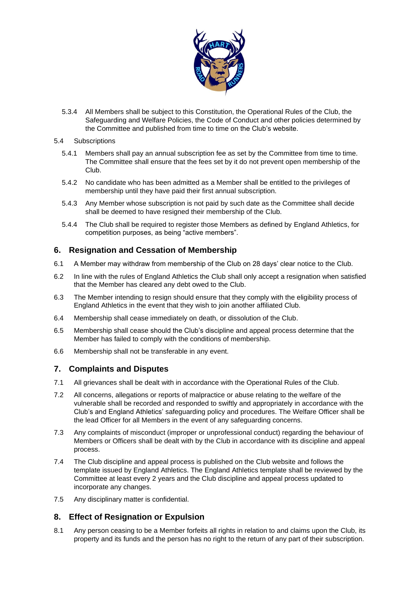

- 5.3.4 All Members shall be subject to this Constitution, the Operational Rules of the Club, the Safeguarding and Welfare Policies, the Code of Conduct and other policies determined by the Committee and published from time to time on the Club's website.
- 5.4 Subscriptions
	- 5.4.1 Members shall pay an annual subscription fee as set by the Committee from time to time. The Committee shall ensure that the fees set by it do not prevent open membership of the Club.
	- 5.4.2 No candidate who has been admitted as a Member shall be entitled to the privileges of membership until they have paid their first annual subscription.
	- 5.4.3 Any Member whose subscription is not paid by such date as the Committee shall decide shall be deemed to have resigned their membership of the Club.
	- 5.4.4 The Club shall be required to register those Members as defined by England Athletics, for competition purposes, as being "active members".

### **6. Resignation and Cessation of Membership**

- 6.1 A Member may withdraw from membership of the Club on 28 days' clear notice to the Club.
- 6.2 In line with the rules of England Athletics the Club shall only accept a resignation when satisfied that the Member has cleared any debt owed to the Club.
- 6.3 The Member intending to resign should ensure that they comply with the eligibility process of England Athletics in the event that they wish to join another affiliated Club.
- 6.4 Membership shall cease immediately on death, or dissolution of the Club.
- 6.5 Membership shall cease should the Club's discipline and appeal process determine that the Member has failed to comply with the conditions of membership.
- 6.6 Membership shall not be transferable in any event.

# **7. Complaints and Disputes**

- 7.1 All grievances shall be dealt with in accordance with the Operational Rules of the Club.
- 7.2 All concerns, allegations or reports of malpractice or abuse relating to the welfare of the vulnerable shall be recorded and responded to swiftly and appropriately in accordance with the Club's and England Athletics' safeguarding policy and procedures. The Welfare Officer shall be the lead Officer for all Members in the event of any safeguarding concerns.
- 7.3 Any complaints of misconduct (improper or unprofessional conduct) regarding the behaviour of Members or Officers shall be dealt with by the Club in accordance with its discipline and appeal process.
- 7.4 The Club discipline and appeal process is published on the Club website and follows the template issued by England Athletics. The England Athletics template shall be reviewed by the Committee at least every 2 years and the Club discipline and appeal process updated to incorporate any changes.
- 7.5 Any disciplinary matter is confidential.

# **8. Effect of Resignation or Expulsion**

8.1 Any person ceasing to be a Member forfeits all rights in relation to and claims upon the Club, its property and its funds and the person has no right to the return of any part of their subscription.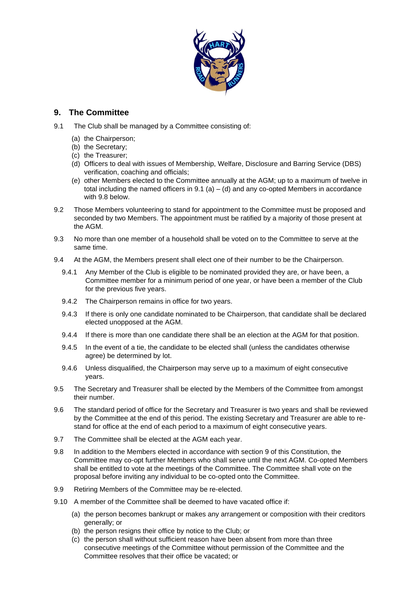

# **9. The Committee**

- 9.1 The Club shall be managed by a Committee consisting of:
	- (a) the Chairperson;
	- (b) the Secretary;
	- (c) the Treasurer;
	- (d) Officers to deal with issues of Membership, Welfare, Disclosure and Barring Service (DBS) verification, coaching and officials;
	- (e) other Members elected to the Committee annually at the AGM; up to a maximum of twelve in total including the named officers in  $9.1$  (a) – (d) and any co-opted Members in accordance with [9.8](#page-3-0) below.
- 9.2 Those Members volunteering to stand for appointment to the Committee must be proposed and seconded by two Members. The appointment must be ratified by a majority of those present at the AGM.
- 9.3 No more than one member of a household shall be voted on to the Committee to serve at the same time.
- 9.4 At the AGM, the Members present shall elect one of their number to be the Chairperson.
	- 9.4.1 Any Member of the Club is eligible to be nominated provided they are, or have been, a Committee member for a minimum period of one year, or have been a member of the Club for the previous five years.
	- 9.4.2 The Chairperson remains in office for two years.
	- 9.4.3 If there is only one candidate nominated to be Chairperson, that candidate shall be declared elected unopposed at the AGM.
	- 9.4.4 If there is more than one candidate there shall be an election at the AGM for that position.
	- 9.4.5 In the event of a tie, the candidate to be elected shall (unless the candidates otherwise agree) be determined by lot.
	- 9.4.6 Unless disqualified, the Chairperson may serve up to a maximum of eight consecutive years.
- 9.5 The Secretary and Treasurer shall be elected by the Members of the Committee from amongst their number.
- 9.6 The standard period of office for the Secretary and Treasurer is two years and shall be reviewed by the Committee at the end of this period. The existing Secretary and Treasurer are able to restand for office at the end of each period to a maximum of eight consecutive years.
- 9.7 The Committee shall be elected at the AGM each year.
- <span id="page-3-0"></span>9.8 In addition to the Members elected in accordance with section 9 of this Constitution, the Committee may co-opt further Members who shall serve until the next AGM. Co-opted Members shall be entitled to vote at the meetings of the Committee. The Committee shall vote on the proposal before inviting any individual to be co-opted onto the Committee.
- 9.9 Retiring Members of the Committee may be re-elected.
- 9.10 A member of the Committee shall be deemed to have vacated office if:
	- (a) the person becomes bankrupt or makes any arrangement or composition with their creditors generally; or
	- (b) the person resigns their office by notice to the Club; or
	- (c) the person shall without sufficient reason have been absent from more than three consecutive meetings of the Committee without permission of the Committee and the Committee resolves that their office be vacated; or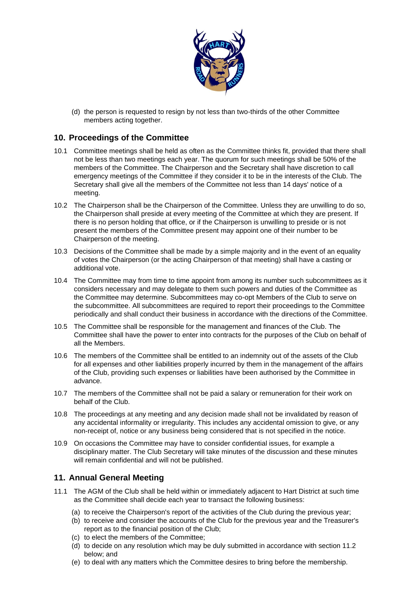

(d) the person is requested to resign by not less than two-thirds of the other Committee members acting together.

### **10. Proceedings of the Committee**

- 10.1 Committee meetings shall be held as often as the Committee thinks fit, provided that there shall not be less than two meetings each year. The quorum for such meetings shall be 50% of the members of the Committee. The Chairperson and the Secretary shall have discretion to call emergency meetings of the Committee if they consider it to be in the interests of the Club. The Secretary shall give all the members of the Committee not less than 14 days' notice of a meeting.
- 10.2 The Chairperson shall be the Chairperson of the Committee. Unless they are unwilling to do so, the Chairperson shall preside at every meeting of the Committee at which they are present. If there is no person holding that office, or if the Chairperson is unwilling to preside or is not present the members of the Committee present may appoint one of their number to be Chairperson of the meeting.
- 10.3 Decisions of the Committee shall be made by a simple majority and in the event of an equality of votes the Chairperson (or the acting Chairperson of that meeting) shall have a casting or additional vote.
- 10.4 The Committee may from time to time appoint from among its number such subcommittees as it considers necessary and may delegate to them such powers and duties of the Committee as the Committee may determine. Subcommittees may co-opt Members of the Club to serve on the subcommittee. All subcommittees are required to report their proceedings to the Committee periodically and shall conduct their business in accordance with the directions of the Committee.
- 10.5 The Committee shall be responsible for the management and finances of the Club. The Committee shall have the power to enter into contracts for the purposes of the Club on behalf of all the Members.
- 10.6 The members of the Committee shall be entitled to an indemnity out of the assets of the Club for all expenses and other liabilities properly incurred by them in the management of the affairs of the Club, providing such expenses or liabilities have been authorised by the Committee in advance.
- 10.7 The members of the Committee shall not be paid a salary or remuneration for their work on behalf of the Club.
- 10.8 The proceedings at any meeting and any decision made shall not be invalidated by reason of any accidental informality or irregularity. This includes any accidental omission to give, or any non-receipt of, notice or any business being considered that is not specified in the notice.
- 10.9 On occasions the Committee may have to consider confidential issues, for example a disciplinary matter. The Club Secretary will take minutes of the discussion and these minutes will remain confidential and will not be published.

# **11. Annual General Meeting**

- 11.1 The AGM of the Club shall be held within or immediately adjacent to Hart District at such time as the Committee shall decide each year to transact the following business:
	- (a) to receive the Chairperson's report of the activities of the Club during the previous year;
	- (b) to receive and consider the accounts of the Club for the previous year and the Treasurer's report as to the financial position of the Club;
	- (c) to elect the members of the Committee;
	- (d) to decide on any resolution which may be duly submitted in accordance with section 11.2 below; and
	- (e) to deal with any matters which the Committee desires to bring before the membership.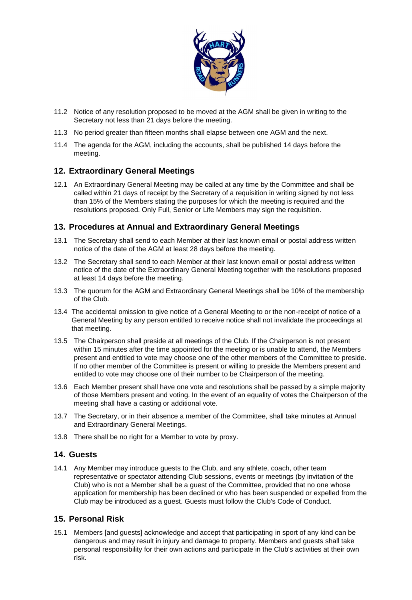

- 11.2 Notice of any resolution proposed to be moved at the AGM shall be given in writing to the Secretary not less than 21 days before the meeting.
- 11.3 No period greater than fifteen months shall elapse between one AGM and the next.
- 11.4 The agenda for the AGM, including the accounts, shall be published 14 days before the meeting.

## **12. Extraordinary General Meetings**

12.1 An Extraordinary General Meeting may be called at any time by the Committee and shall be called within 21 days of receipt by the Secretary of a requisition in writing signed by not less than 15% of the Members stating the purposes for which the meeting is required and the resolutions proposed. Only Full, Senior or Life Members may sign the requisition.

### **13. Procedures at Annual and Extraordinary General Meetings**

- 13.1 The Secretary shall send to each Member at their last known email or postal address written notice of the date of the AGM at least 28 days before the meeting.
- 13.2 The Secretary shall send to each Member at their last known email or postal address written notice of the date of the Extraordinary General Meeting together with the resolutions proposed at least 14 days before the meeting.
- 13.3 The quorum for the AGM and Extraordinary General Meetings shall be 10% of the membership of the Club.
- 13.4 The accidental omission to give notice of a General Meeting to or the non-receipt of notice of a General Meeting by any person entitled to receive notice shall not invalidate the proceedings at that meeting.
- 13.5 The Chairperson shall preside at all meetings of the Club. If the Chairperson is not present within 15 minutes after the time appointed for the meeting or is unable to attend, the Members present and entitled to vote may choose one of the other members of the Committee to preside. If no other member of the Committee is present or willing to preside the Members present and entitled to vote may choose one of their number to be Chairperson of the meeting.
- 13.6 Each Member present shall have one vote and resolutions shall be passed by a simple majority of those Members present and voting. In the event of an equality of votes the Chairperson of the meeting shall have a casting or additional vote.
- 13.7 The Secretary, or in their absence a member of the Committee, shall take minutes at Annual and Extraordinary General Meetings.
- 13.8 There shall be no right for a Member to vote by proxy.

### **14. Guests**

14.1 Any Member may introduce guests to the Club, and any athlete, coach, other team representative or spectator attending Club sessions, events or meetings (by invitation of the Club) who is not a Member shall be a guest of the Committee, provided that no one whose application for membership has been declined or who has been suspended or expelled from the Club may be introduced as a guest. Guests must follow the Club's Code of Conduct.

### **15. Personal Risk**

15.1 Members [and guests] acknowledge and accept that participating in sport of any kind can be dangerous and may result in injury and damage to property. Members and guests shall take personal responsibility for their own actions and participate in the Club's activities at their own risk.